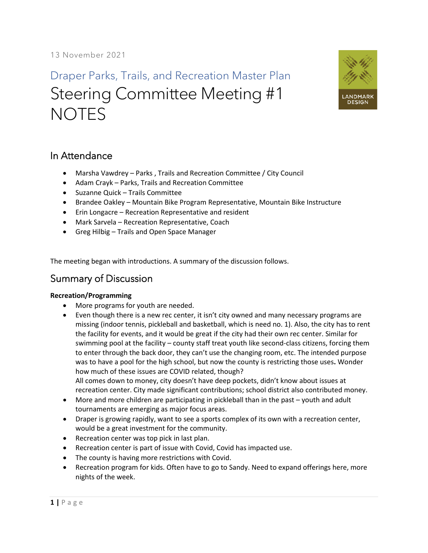# Draper Parks, Trails, and Recreation Master Plan Steering Committee Meeting #1 **NOTES**



## In Attendance

- Marsha Vawdrey Parks , Trails and Recreation Committee / City Council
- Adam Crayk Parks, Trails and Recreation Committee
- Suzanne Quick Trails Committee
- Brandee Oakley Mountain Bike Program Representative, Mountain Bike Instructure
- Erin Longacre Recreation Representative and resident
- Mark Sarvela Recreation Representative, Coach
- Greg Hilbig Trails and Open Space Manager

The meeting began with introductions. A summary of the discussion follows.

## Summary of Discussion

### **Recreation/Programming**

- More programs for youth are needed.
- Even though there is a new rec center, it isn't city owned and many necessary programs are missing (indoor tennis, pickleball and basketball, which is need no. 1). Also, the city has to rent the facility for events, and it would be great if the city had their own rec center. Similar for swimming pool at the facility – county staff treat youth like second-class citizens, forcing them to enter through the back door, they can't use the changing room, etc. The intended purpose was to have a pool for the high school, but now the county is restricting those uses**.** Wonder how much of these issues are COVID related, though? All comes down to money, city doesn't have deep pockets, didn't know about issues at
- recreation center. City made significant contributions; school district also contributed money. • More and more children are participating in pickleball than in the past – youth and adult tournaments are emerging as major focus areas.
- Draper is growing rapidly, want to see a sports complex of its own with a recreation center, would be a great investment for the community.
- Recreation center was top pick in last plan.
- Recreation center is part of issue with Covid, Covid has impacted use.
- The county is having more restrictions with Covid.
- Recreation program for kids. Often have to go to Sandy. Need to expand offerings here, more nights of the week.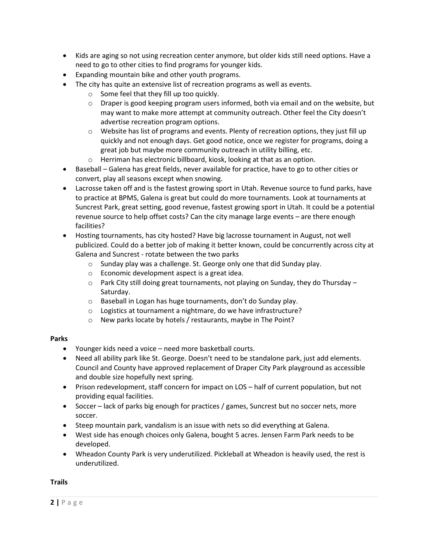- Kids are aging so not using recreation center anymore, but older kids still need options. Have a need to go to other cities to find programs for younger kids.
- Expanding mountain bike and other youth programs.
- The city has quite an extensive list of recreation programs as well as events.
	- $\circ$  Some feel that they fill up too quickly.
	- $\circ$  Draper is good keeping program users informed, both via email and on the website, but may want to make more attempt at community outreach. Other feel the City doesn't advertise recreation program options.
	- $\circ$  Website has list of programs and events. Plenty of recreation options, they just fill up quickly and not enough days. Get good notice, once we register for programs, doing a great job but maybe more community outreach in utility billing, etc.
	- o Herriman has electronic billboard, kiosk, looking at that as an option.
- Baseball Galena has great fields, never available for practice, have to go to other cities or convert, play all seasons except when snowing.
- Lacrosse taken off and is the fastest growing sport in Utah. Revenue source to fund parks, have to practice at BPMS, Galena is great but could do more tournaments. Look at tournaments at Suncrest Park, great setting, good revenue, fastest growing sport in Utah. It could be a potential revenue source to help offset costs? Can the city manage large events – are there enough facilities?
- Hosting tournaments, has city hosted? Have big lacrosse tournament in August, not well publicized. Could do a better job of making it better known, could be concurrently across city at Galena and Suncrest - rotate between the two parks
	- o Sunday play was a challenge. St. George only one that did Sunday play.
	- o Economic development aspect is a great idea.
	- $\circ$  Park City still doing great tournaments, not playing on Sunday, they do Thursday Saturday.
	- o Baseball in Logan has huge tournaments, don't do Sunday play.
	- o Logistics at tournament a nightmare, do we have infrastructure?
	- o New parks locate by hotels / restaurants, maybe in The Point?

#### **Parks**

- Younger kids need a voice need more basketball courts.
- Need all ability park like St. George. Doesn't need to be standalone park, just add elements. Council and County have approved replacement of Draper City Park playground as accessible and double size hopefully next spring.
- Prison redevelopment, staff concern for impact on LOS half of current population, but not providing equal facilities.
- Soccer lack of parks big enough for practices / games, Suncrest but no soccer nets, more soccer.
- Steep mountain park, vandalism is an issue with nets so did everything at Galena.
- West side has enough choices only Galena, bought 5 acres. Jensen Farm Park needs to be developed.
- Wheadon County Park is very underutilized. Pickleball at Wheadon is heavily used, the rest is underutilized.

### **Trails**